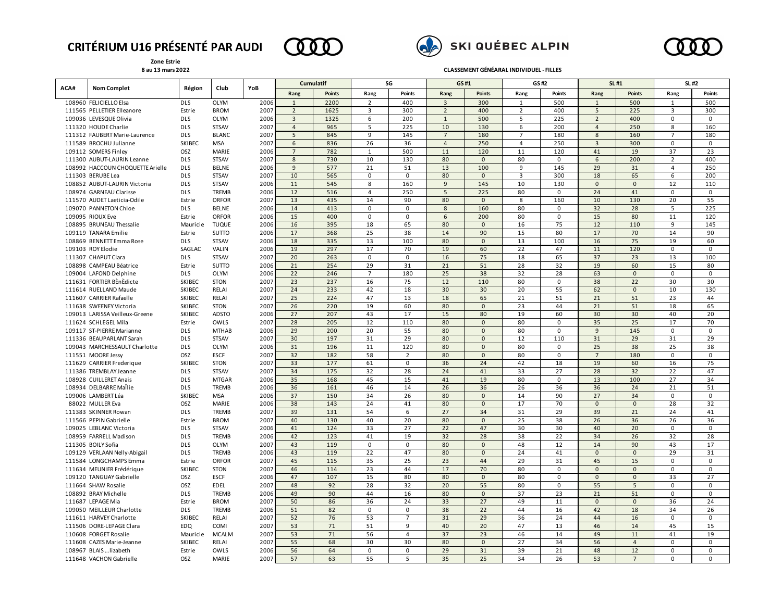## **CRITÉRIUM U16 PRÉSENTÉ PAR AUDI**

**Zone Estrie 8 au 13 mars 2022**







**CLASSEMENT GÉNÉARAL INDIVIDUEL - FILLES**

| ACA# |                                  |               | Club         |      | Cumulatif      |               | SG             |                | GS#1           |               | GS#2           |               | SL #1          |                | SL #2          |               |
|------|----------------------------------|---------------|--------------|------|----------------|---------------|----------------|----------------|----------------|---------------|----------------|---------------|----------------|----------------|----------------|---------------|
|      | <b>Nom Complet</b>               | Région        |              | YoB  | Rang           | <b>Points</b> | Rang           | <b>Points</b>  | Rang           | <b>Points</b> | Rang           | <b>Points</b> | Rang           | <b>Points</b>  | Rang           | <b>Points</b> |
|      | 108960 FELICIELLO Elsa           | <b>DLS</b>    | <b>OLYM</b>  | 2006 | $\mathbf{1}$   | 2200          | $\overline{2}$ | 400            | $\overline{3}$ | 300           | $\overline{1}$ | 500           | $\mathbf{1}$   | 500            | $\mathbf{1}$   | 500           |
|      | 111565 PELLETIER Elleanore       | Estrie        | <b>BROM</b>  | 2007 | $\overline{2}$ | 1625          | $\overline{3}$ | 300            | $\overline{2}$ | 400           | $\overline{2}$ | 400           | 5              | 225            | 3              | 300           |
|      | 109036 LEVESQUE Olivia           | <b>DLS</b>    | <b>OLYM</b>  | 2006 | 3              | 1325          | 6              | 200            | $\mathbf{1}$   | 500           | 5              | 225           | $\overline{2}$ | 400            | $\Omega$       | $\Omega$      |
|      | 111320 HOUDE Charlie             | <b>DLS</b>    | <b>STSAV</b> | 2007 | $\overline{4}$ | 965           | 5              | 225            | 10             | 130           | 6              | 200           | $\overline{4}$ | 250            | 8              | 160           |
|      | 111312 FAUBERT Marie-Laurence    | <b>DLS</b>    | <b>BLANC</b> | 2007 | 5              | 845           | 9              | 145            | $\overline{7}$ | 180           |                | 180           | 8              | 160            | 7              | 180           |
|      | 111589 BROCHU Julianne           | SKIBEC        | <b>MSA</b>   | 2007 | 6              | 836           | 26             | 36             | $\overline{4}$ | 250           | $\overline{a}$ | 250           | $\overline{3}$ | 300            | $\Omega$       | $\Omega$      |
|      | 109112 SOMERS Finley             | <b>OSZ</b>    | MARIE        | 2006 | $\overline{7}$ | 782           | $\mathbf{1}$   | 500            | 11             | 120           | 11             | 120           | 41             | 19             | 37             | 23            |
|      | 111300 AUBUT-LAURIN Leanne       | <b>DLS</b>    | <b>STSAV</b> | 2007 | 8              | 730           | 10             | 130            | 80             | $\mathbf{0}$  | 80             | 0             | 6              | 200            | $\overline{2}$ | 400           |
|      | 108992 HACCOUN CHOQUETTE Arielle | <b>DLS</b>    | <b>BELNE</b> | 2006 | 9              | 577           | 21             | 51             | 13             | 100           | 9              | 145           | 29             | 31             | 4              | 250           |
|      | 111303 BERUBE Lea                | <b>DLS</b>    | <b>STSAV</b> | 2007 | 10             | 565           | 0              | 0              | 80             | $\mathbf{0}$  | 3              | 300           | 18             | 65             | 6              | 200           |
|      | 108852 AUBUT-LAURIN Victoria     | <b>DLS</b>    | STSAV        | 2006 | 11             | 545           | 8              | 160            | 9              | 145           | 10             | 130           | $\mathsf 0$    | $\mathbf 0$    | 12             | 110           |
|      | 108974 GARNEAU Clarisse          | <b>DLS</b>    | <b>TREMB</b> | 2006 | 12             | 516           | $\overline{4}$ | 250            | 5              | 225           | 80             | 0             | 24             | 41             | 0              | $\mathbf 0$   |
|      | 111570 AUDET Laeticia-Odile      | Estrie        | <b>ORFOR</b> | 2007 | 13             | 435           | 14             | 90             | 80             | $\mathsf 0$   | 8              | 160           | 10             | 130            | 20             | 55            |
|      | 109070 PANNETON Chloe            | <b>DLS</b>    | BELNE        | 2006 | 14             | 413           | 0              | 0              | 8              | 160           | 80             | 0             | 32             | 28             | 5              | 225           |
|      | 109095 RIOUX Eve                 | Estrie        | <b>ORFOR</b> | 2006 | 15             | 400           | 0              | 0              | 6              | 200           | 80             | 0             | 15             | 80             | 11             | 120           |
|      | 108895 BRUNEAU Thessalie         | Mauricie      | <b>TUQUE</b> | 2006 | 16             | 395           | 18             | 65             | 80             | $\mathsf 0$   | 16             | 75            | 12             | 110            | 9              | 145           |
|      | 109119 TANARA Emilie             | Estrie        | SUTTO        | 2006 | 17             | 368           | 25             | 38             | 14             | 90            | 15             | 80            | 17             | 70             | 14             | 90            |
|      | 108869 BENNETT Emma Rose         | <b>DLS</b>    | <b>STSAV</b> | 2006 | 18             | 335           | 13             | 100            | 80             | $\mathbf 0$   | 13             | 100           | 16             | 75             | 19             | 60            |
|      | 109103 ROY Elodie                | SAGLAC        | VALIN        | 2006 | 19             | 297           | 17             | 70             | 19             | 60            | 22             | 47            | 11             | 120            | $\mathsf 0$    | 0             |
|      | 111307 CHAPUT Clara              | <b>DLS</b>    | <b>STSAV</b> | 2007 | 20             | 263           | 0              | $\mathbf 0$    | 16             | 75            | 18             | 65            | 37             | 23             | 13             | 100           |
|      | 108898 CAMPEAU Béatrice          | Estrie        | SUTTO        | 2006 | 21             | 254           | 29             | 31             | 21             | 51            | 28             | 32            | 19             | 60             | 15             | 80            |
|      | 109004 LAFOND Delphine           | <b>DLS</b>    | <b>OLYM</b>  | 2006 | 22             | 246           | $\overline{7}$ | 180            | 25             | 38            | 32             | 28            | 63             | $\mathbf 0$    | $\mathsf 0$    | $\Omega$      |
|      | 111631 FORTIER BEnEdicte         | SKIBEC        | <b>STON</b>  | 2007 | 23             | 237           | 16             | 75             | 12             | 110           | 80             | 0             | 38             | 22             | 30             | 30            |
|      | 111614 RUELLAND Maude            | SKIBEC        | <b>RELAI</b> | 2007 | 24             | 233           | 42             | 18             | 30             | 30            | 20             | 55            | 62             | $\mathbf{0}$   | 10             | 130           |
|      | 111607 CARRIER Rafaelle          | SKIBEC        | <b>RELAI</b> | 2007 | 25             | 224           | 47             | 13             | 18             | 65            | 21             | 51            | 21             | 51             | 23             | 44            |
|      | 111638 SWEENEY Victoria          | SKIBEC        | <b>STON</b>  | 2007 | 26             | 220           | 19             | 60             | 80             | $\Omega$      | 23             | 44            | 21             | 51             | 18             | 65            |
|      | 109013 LARISSA Veilleux-Greene   | <b>SKIBEC</b> | <b>ADSTO</b> | 2006 | 27             | 207           | 43             | 17             | 15             | 80            | 19             | 60            | 30             | 30             | 40             | 20            |
|      | 111624 SCHLEGEL Mila             | Estrie        | OWLS         | 2007 | 28             | 205           | 12             | 110            | 80             | $\Omega$      | 80             | $\Omega$      | 35             | 25             | 17             | 70            |
|      | 109117 ST-PIERRE Marianne        | <b>DLS</b>    | <b>MTHAB</b> | 2006 | 29             | 200           | 20             | 55             | 80             | $\mathbf{0}$  | 80             | 0             | 9              | 145            | $\mathbf 0$    | $\mathbf 0$   |
|      | 111336 BEAUPARLANT Sarah         | <b>DLS</b>    | <b>STSAV</b> | 2007 | 30             | 197           | 31             | 29             | 80             | $\Omega$      | 12             | 110           | 31             | 29             | 31             | 29            |
|      | 109043 MARCHESSAULT Charlotte    | <b>DLS</b>    | OLYM         | 2006 | 31             | 196           | 11             | 120            | 80             | $\Omega$      | 80             | $\mathsf 0$   | 25             | 38             | 25             | 38            |
|      | 111551 MOORE Jessy               | OSZ           | <b>ESCF</b>  | 2007 | 32             | 182           | 58             | $\overline{2}$ | 80             | $\Omega$      | 80             | 0             | $\overline{7}$ | 180            | $\mathbf 0$    | $\mathbf 0$   |
|      | 111629 CARRIER Frederique        | <b>SKIBEC</b> | <b>STON</b>  | 2007 | 33             | 177           | 61             | 0              | 36             | 24            | 42             | 18            | 19             | 60             | 16             | 75            |
|      | 111386 TREMBLAY Jeanne           | <b>DLS</b>    | <b>STSAV</b> | 2007 | 34             | 175           | 32             | 28             | 24             | 41            | 33             | 27            | 28             | 32             | 22             | 47            |
|      | 108928 CUILLERET Anais           | <b>DLS</b>    | <b>MTGAR</b> | 2006 | 35             | 168           | 45             | 15             | 41             | 19            | 80             | $\mathbf 0$   | 13             | 100            | 27             | 34            |
|      | 108934 DELBARRE Mallie           | <b>DLS</b>    | TREMB        | 2006 | 36             | 161           | 46             | 14             | 26             | 36            | 26             | 36            | 36             | 24             | 21             | 51            |
|      | 109006 LAMBERT Léa               | SKIBEC        | MSA          | 2006 | 37             | 150           | 34             | 26             | 80             | $\mathsf 0$   | 14             | 90            | 27             | 34             | 0              | 0             |
|      | 88022 MULLER Eva                 | OSZ           | MARIE        | 2006 | 38             | 143           | 24             | 41             | 80             | $\mathbf 0$   | 17             | 70            | $\mathbf 0$    | $\mathbf 0$    | 28             | 32            |
|      | 111383 SKINNER Rowan             | <b>DLS</b>    | TREMB        | 2007 | 39             | 131           | 54             | 6              | 27             | 34            | 31             | 29            | 39             | 21             | 24             | 41            |
|      | 111566 PEPIN Gabrielle           | Estrie        | <b>BROM</b>  | 2007 | 40             | 130           | 40             | 20             | 80             | $\mathbf 0$   | 25             | 38            | 26             | 36             | 26             | 36            |
|      | 109025 LEBLANC Victoria          | <b>DLS</b>    | <b>STSAV</b> | 2006 | 41             | 124           | 33             | 27             | 22             | 47            | 30             | 30            | 40             | 20             | 0              | 0             |
|      | 108959 FARRELL Madison           | <b>DLS</b>    | <b>TREMB</b> | 2006 | 42             | 123           | 41             | 19             | 32             | 28            | 38             | 22            | 34             | 26             | 32             | 28            |
|      | 111305 BOILY Sofia               | <b>DLS</b>    | <b>OLYM</b>  | 2007 | 43             | 119           | 0              | $\mathbf 0$    | 80             | $\mathsf 0$   | 48             | 12            | 14             | 90             | 43             | 17            |
|      | 109129 VERLAAN Nelly-Abigail     | <b>DLS</b>    | <b>TREMB</b> | 2006 | 43             | 119           | 22             | 47             | 80             | $\mathsf 0$   | 24             | 41            | $\mathbf 0$    | $\mathbf 0$    | 29             | 31            |
|      | 111584 LONGCHAMPS Emma           | Estrie        | <b>ORFOR</b> | 2007 | 45             | 115           | 35             | 25             | 23             | 44            | 29             | 31            | 45             | 15             | 0              | $\mathbf 0$   |
|      | 111634 MEUNIER Frédérique        | <b>SKIBEC</b> | <b>STON</b>  | 2007 | 46             | 114           | 23             | 44             | 17             | 70            | 80             | $\Omega$      | $\mathbf{0}$   | $\mathbf{0}$   | $\mathbf 0$    | $\Omega$      |
|      | 109120 TANGUAY Gabrielle         | OSZ           | <b>ESCF</b>  | 2006 | 47             | 107           | 15             | 80             | 80             | $\mathbf{0}$  | 80             | $\mathbf 0$   | $\mathbf{0}$   | $\mathbf{0}$   | 33             | 27            |
|      | 111664 SHAW Rosalie              | OSZ           | <b>EDEL</b>  | 2007 | 48             | 92            | 28             | 32             | 20             | 55            | 80             | $\mathbf 0$   | 55             | 5              | $\Omega$       | $\Omega$      |
|      | 108892 BRAY Michelle             | <b>DLS</b>    | <b>TREMB</b> | 2006 | 49             | 90            | 44             | 16             | 80             | $\mathbf{0}$  | 37             | 23            | 21             | 51             | $\mathbf 0$    | $\mathbf 0$   |
|      | 111687 LEPAGE Mia                | Estrie        | <b>BROM</b>  | 2007 | 50             | 86            | 36             | 24             | 33             | 27            | 49             | 11            | $\mathbf{0}$   | $\mathbf{0}$   | 36             | 24            |
|      | 109050 MEILLEUR Charlotte        | <b>DLS</b>    | <b>TREMB</b> | 2006 | 51             | 82            | $\mathbf 0$    | $\mathbf 0$    | 38             | 22            | 44             | 16            | 42             | 18             | 34             | 26            |
|      | 111611 HARVEY Charlotte          | SKIBEC        | <b>RELAI</b> | 2007 | 52             | 76            | 53             | $\overline{7}$ | 31             | 29            | 36             | 24            | 44             | 16             | $\mathbf 0$    | $\Omega$      |
|      | 111506 DORE-LEPAGE Clara         | EDQ           | COMI         | 2007 | 53             | 71            | 51             | 9              | 40             | 20            | 47             | 13            | 46             | 14             | 45             | 15            |
|      | 110608 FORGET Rosalie            | Mauricie      | <b>MCALM</b> | 2007 | 53             | 71            | 56             | $\overline{4}$ | 37             | 23            | 46             | 14            | 49             | 11             | 41             | 19            |
|      | 111608 CAZES Marie-Jeanne        | <b>SKIBEC</b> | <b>RELAI</b> | 2007 | 55             | 68            | 30             | 30             | 80             | $\mathbf{0}$  | 27             | 34            | 56             | $\overline{4}$ | $\mathbf 0$    | $\mathbf 0$   |
|      | 108967 BLAIS  lizabeth           | Estrie        | OWLS         | 2006 | 56             | 64            | 0              | $\mathbf 0$    | 29             | 31            | 39             | 21            | 48             | 12             | $\Omega$       | $\Omega$      |
|      | 111648 VACHON Gabrielle          | OSZ           | <b>MARIE</b> | 2007 | 57             | 63            | 55             | .5             | 35             | 25            | 34             | 26            | 53             | $\overline{7}$ | $\Omega$       | $\Omega$      |